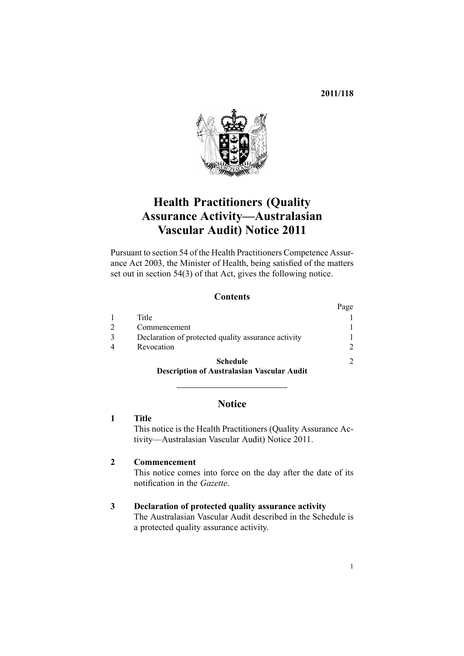# **2011/118**

<span id="page-0-0"></span>

# **Health Practitioners (Quality Assurance Activity—Australasian Vascular Audit) Notice 2011**

Pursuant to [section](http://www.legislation.govt.nz/pdflink.aspx?id=DLM203852) 54 of the Health Practitioners Competence Assurance Act 2003, the Minister of Health, being satisfied of the matters set out in section 54(3) of that Act, gives the following notice.

# **Contents**

|                                                     | Page |
|-----------------------------------------------------|------|
| Title                                               |      |
| Commencement                                        |      |
| Declaration of protected quality assurance activity |      |
| Revocation                                          | 2    |
| <b>Schedule</b>                                     |      |
| <b>Description of Australasian Vascular Audit</b>   |      |

# **Notice**

# **1 Title**

This notice is the Health Practitioners (Quality Assurance Activity—Australasian Vascular Audit) Notice 2011.

### **2 Commencement**

This notice comes into force on the day after the date of its notification in the *Gazette*.

#### **3 Declaration of protected quality assurance activity**

The Australasian Vascular Audit described in the [Schedule](#page-1-0) is <sup>a</sup> protected quality assurance activity.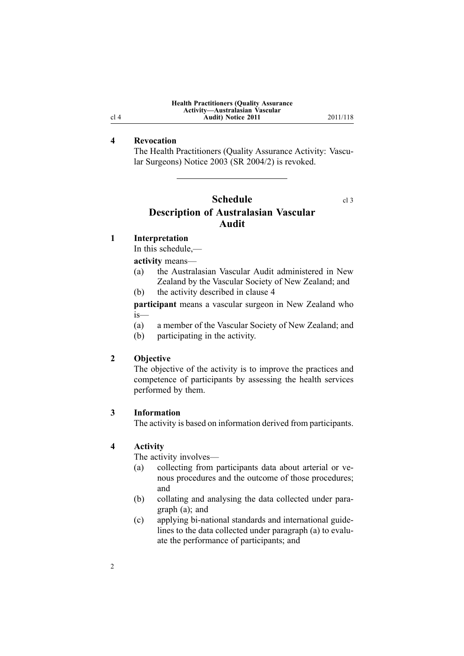| <b>Health Practitioners (Quality Assurance)</b> |  |  |  |  |
|-------------------------------------------------|--|--|--|--|
| Activity-Australasian Vascular                  |  |  |  |  |
| <b>Audit</b> ) Notice 2011                      |  |  |  |  |

**Audit) Notice 2011** 2011/118

#### <span id="page-1-0"></span>**4 Revocation**

The Health [Practitioners](http://www.legislation.govt.nz/pdflink.aspx?id=DLM239648) (Quality Assurance Activity: Vascular [Surgeons\)](http://www.legislation.govt.nz/pdflink.aspx?id=DLM239648) Notice 2003 (SR 2004/2) is revoked.

# **Schedule** [cl](#page-0-0) 3 **Description of Australasian Vascular Audit**

#### **1 Interpretation**

In this schedule,—

**activity** means—

- (a) the Australasian Vascular Audit administered in New Zealand by the Vascular Society of New Zealand; and
- (b) the activity described in clause 4

**participant** means <sup>a</sup> vascular surgeon in New Zealand who is—

- (a) <sup>a</sup> member of the Vascular Society of New Zealand; and
- (b) participating in the activity.

# **2 Objective**

The objective of the activity is to improve the practices and competence of participants by assessing the health services performed by them.

#### **3 Information**

The activity is based on information derived from participants.

#### **4 Activity**

2

The activity involves—

- (a) collecting from participants data about arterial or venous procedures and the outcome of those procedures; and
- (b) collating and analysing the data collected under paragraph (a); and
- (c) applying bi-national standards and international guidelines to the data collected under paragraph (a) to evaluate the performance of participants; and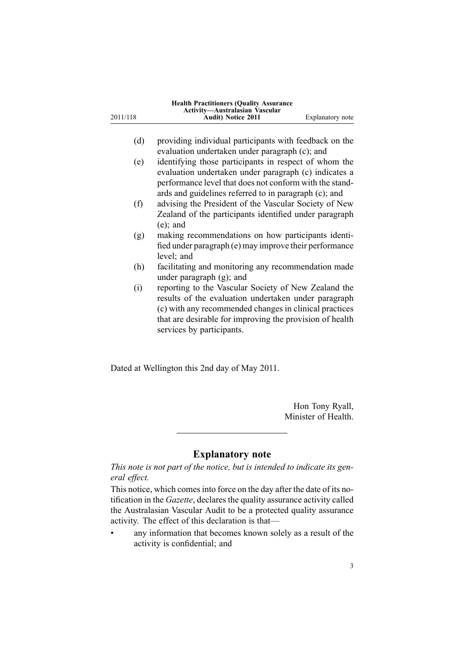| 2011/118 | <b>Health Practitioners (Quality Assurance</b><br>Activity-Australasian Vascular<br><b>Audit)</b> Notice 2011                                                                                                                                                   | Explanatory note |
|----------|-----------------------------------------------------------------------------------------------------------------------------------------------------------------------------------------------------------------------------------------------------------------|------------------|
|          |                                                                                                                                                                                                                                                                 |                  |
| (d)      | providing individual participants with feedback on the                                                                                                                                                                                                          |                  |
|          | evaluation undertaken under paragraph (c); and                                                                                                                                                                                                                  |                  |
| (e)      | identifying those participants in respect of whom the<br>evaluation undertaken under paragraph (c) indicates a<br>performance level that does not conform with the stand-<br>ards and guidelines referred to in paragraph (c); and                              |                  |
| (f)      | advising the President of the Vascular Society of New<br>Zealand of the participants identified under paragraph<br>$(e)$ ; and                                                                                                                                  |                  |
| (g)      | making recommendations on how participants identi-<br>fied under paragraph (e) may improve their performance<br>level; and                                                                                                                                      |                  |
| (h)      | facilitating and monitoring any recommendation made<br>under paragraph $(g)$ ; and                                                                                                                                                                              |                  |
| (i)      | reporting to the Vascular Society of New Zealand the<br>results of the evaluation undertaken under paragraph<br>(c) with any recommended changes in clinical practices<br>that are desirable for improving the provision of health<br>services by participants. |                  |

Dated at Wellington this 2nd day of May 2011.

Hon Tony Ryall, Minister of Health.

# **Explanatory note**

*This note is not par<sup>t</sup> of the notice, but is intended to indicate its general effect.*

This notice, which comesinto force on the day after the date of its notification in the *Gazette*, declares the quality assurance activity called the Australasian Vascular Audit to be <sup>a</sup> protected quality assurance activity. The effect of this declaration is that—

• any information that becomes known solely as <sup>a</sup> result of the activity is confidential; and